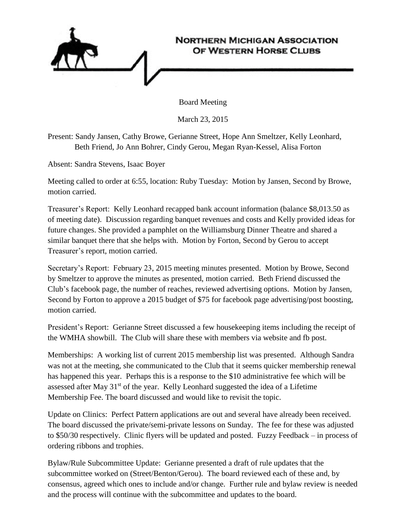

Board Meeting

March 23, 2015

Present: Sandy Jansen, Cathy Browe, Gerianne Street, Hope Ann Smeltzer, Kelly Leonhard, Beth Friend, Jo Ann Bohrer, Cindy Gerou, Megan Ryan-Kessel, Alisa Forton

Absent: Sandra Stevens, Isaac Boyer

Meeting called to order at 6:55, location: Ruby Tuesday: Motion by Jansen, Second by Browe, motion carried.

Treasurer's Report: Kelly Leonhard recapped bank account information (balance \$8,013.50 as of meeting date). Discussion regarding banquet revenues and costs and Kelly provided ideas for future changes. She provided a pamphlet on the Williamsburg Dinner Theatre and shared a similar banquet there that she helps with. Motion by Forton, Second by Gerou to accept Treasurer's report, motion carried.

Secretary's Report: February 23, 2015 meeting minutes presented. Motion by Browe, Second by Smeltzer to approve the minutes as presented, motion carried. Beth Friend discussed the Club's facebook page, the number of reaches, reviewed advertising options. Motion by Jansen, Second by Forton to approve a 2015 budget of \$75 for facebook page advertising/post boosting, motion carried.

President's Report: Gerianne Street discussed a few housekeeping items including the receipt of the WMHA showbill. The Club will share these with members via website and fb post.

Memberships: A working list of current 2015 membership list was presented. Although Sandra was not at the meeting, she communicated to the Club that it seems quicker membership renewal has happened this year. Perhaps this is a response to the \$10 administrative fee which will be assessed after May  $31<sup>st</sup>$  of the year. Kelly Leonhard suggested the idea of a Lifetime Membership Fee. The board discussed and would like to revisit the topic.

Update on Clinics: Perfect Pattern applications are out and several have already been received. The board discussed the private/semi-private lessons on Sunday. The fee for these was adjusted to \$50/30 respectively. Clinic flyers will be updated and posted. Fuzzy Feedback – in process of ordering ribbons and trophies.

Bylaw/Rule Subcommittee Update: Gerianne presented a draft of rule updates that the subcommittee worked on (Street/Benton/Gerou). The board reviewed each of these and, by consensus, agreed which ones to include and/or change. Further rule and bylaw review is needed and the process will continue with the subcommittee and updates to the board.